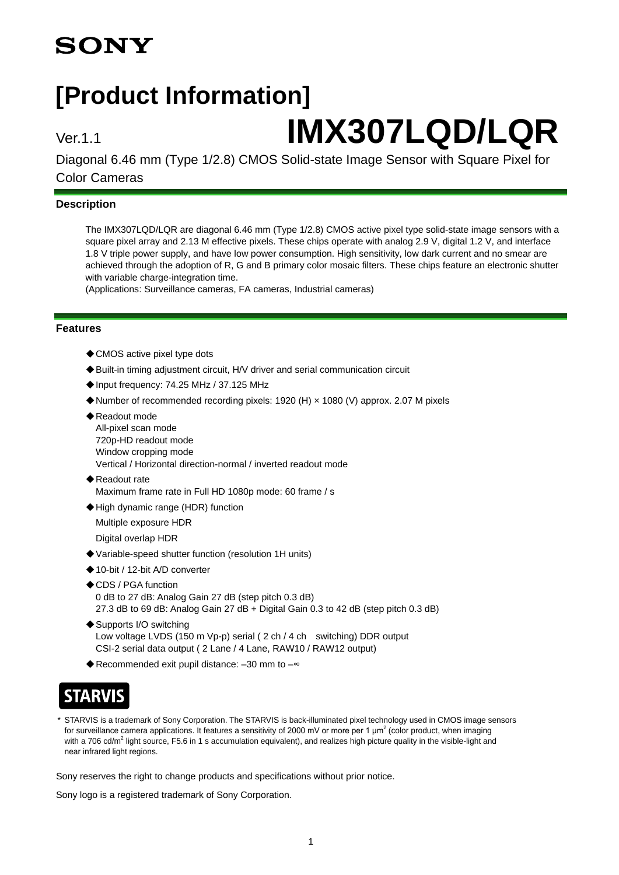# **SONY**

# **[Product Information]**

# Ver.1.1 **IMX307LQD/LQR**

Diagonal 6.46 mm (Type 1/2.8) CMOS Solid-state Image Sensor with Square Pixel for Color Cameras

#### **Description**

The IMX307LQD/LQR are diagonal 6.46 mm (Type 1/2.8) CMOS active pixel type solid-state image sensors with a square pixel array and 2.13 M effective pixels. These chips operate with analog 2.9 V, digital 1.2 V, and interface 1.8 V triple power supply, and have low power consumption. High sensitivity, low dark current and no smear are achieved through the adoption of R, G and B primary color mosaic filters. These chips feature an electronic shutter with variable charge-integration time.

(Applications: Surveillance cameras, FA cameras, Industrial cameras)

#### **Features**

- ◆ CMOS active pixel type dots
- ◆Built-in timing adjustment circuit, H/V driver and serial communication circuit
- ◆Input frequency: 74.25 MHz / 37.125 MHz
- ◆Number of recommended recording pixels: 1920 (H) × 1080 (V) approx. 2.07 M pixels
- ◆ Readout mode
- All-pixel scan mode 720p-HD readout mode Window cropping mode Vertical / Horizontal direction-normal / inverted readout mode
- ◆Readout rate Maximum frame rate in Full HD 1080p mode: 60 frame / s
- ◆High dynamic range (HDR) function
- Multiple exposure HDR
- Digital overlap HDR
- ◆Variable-speed shutter function (resolution 1H units)
- ◆10-bit / 12-bit A/D converter
- ◆CDS / PGA function 0 dB to 27 dB: Analog Gain 27 dB (step pitch 0.3 dB) 27.3 dB to 69 dB: Analog Gain 27 dB + Digital Gain 0.3 to 42 dB (step pitch 0.3 dB)
- ◆ Supports I/O switching Low voltage LVDS (150 m Vp-p) serial (2 ch / 4 ch switching) DDR output CSI-2 serial data output ( 2 Lane / 4 Lane, RAW10 / RAW12 output)
- ◆Recommended exit pupil distance: -30 mm to -

## **STARVIS**

STARVIS is a trademark of Sony Corporation. The STARVIS is back-illuminated pixel technology used in CMOS image sensors for surveillance camera applications. It features a sensitivity of 2000 mV or more per 1  $\mu$ m<sup>2</sup> (color product, when imaging with a 706 cd/m<sup>2</sup> light source, F5.6 in 1 s accumulation equivalent), and realizes high picture quality in the visible-light and near infrared light regions.

Sony reserves the right to change products and specifications without prior notice.

Sony logo is a registered trademark of Sony Corporation.